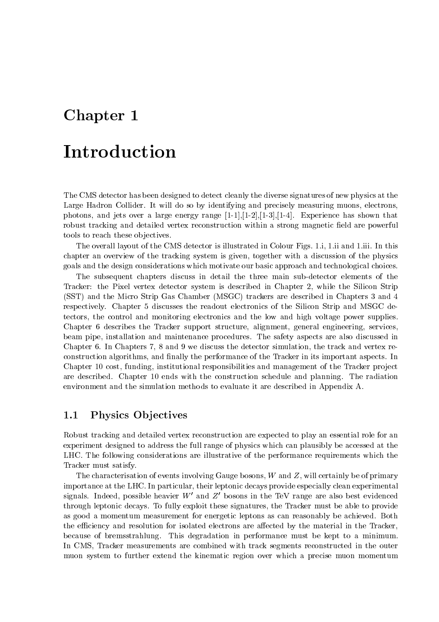## Chapter <sup>1</sup>

# Introduction

The CMS detector has been designed to detect cleanly the diverse signatures of new physics at the Large Hadron Collider. It will do so by identifying and precisely measuring muons, electrons, photons, and jets over a large energy range  $[1-1],[1-2],[1-3],[1-4]$ . Experience has shown that robust tracking and detailed vertex reconstruction within a strong magnetic field are powerful tools to reach these objectives.

The overall layout of the CMS detector is illustrated in Colour Figs. 1.i, 1.ii and 1.iii. In this chapter an overview of the tracking system is given, together with a discussion of the physics goals and the design considerations which motivate our basic approach and technological choices.

The subsequent chapters discuss in detail the three main sub-detector elements of the Tracker: the Pixel vertex detector system is described in Chapter 2, while the Silicon Strip (SST) and the Micro Strip Gas Chamber (MSGC) trackers are described in Chapters 3 and 4 respectively. Chapter 5 discusses the readout electronics of the Silicon Strip and MSGC detectors, the control and monitoring electronics and the low and high voltage power supplies. Chapter 6 describes the Tracker support structure, alignment, general engineering, services, beam pipe, installation and maintenance procedures. The safety aspects are also discussed in Chapter 6. In Chapters 7, 8 and 9 we discuss the detector simulation, the track and vertex reconstruction algorithms, and finally the performance of the Tracker in its important aspects. In Chapter 10 cost, funding, institutional responsibilities and management of the Tracker project are described. Chapter 10 ends with the construction schedule and planning. The radiation environment and the simulation methods to evaluate it are described in Appendix A.

### Physics Ob jectives

Robust tracking and detailed vertex reconstruction are expected to play an essential role for an experiment designed to address the full range of physics which can plausibly be accessed at the LHC. The following considerations are illustrative of the performance requirements which the Tracker must satisfy.

The characterisation of events involving Gauge bosons, <sup>W</sup> and Z, will certainly be of primary importance at the LHC. In particular, their leptonic decays provide especially clean experimental signals. Indeed, possible heavier W' and Z' bosons in the TeV range are also best evidenced through leptonic decays. To fully exploit these signatures, the Tracker must be able to provide as good a momentum measurement for energetic leptons as can reasonably be achieved. Both the efficiency and resolution for isolated electrons are affected by the material in the Tracker, because of bremsstrahlung. This degradation in performance must be kept to a minimum. In CMS, Tracker measurements are combined with track segments reconstructed in the outer muon system to further extend the kinematic region over which a precise muon momentum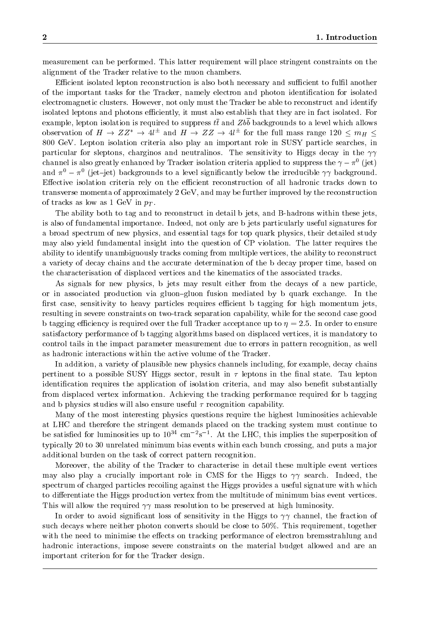measurement can be performed. This latter requirement will place stringent constraints on the alignment of the Tracker relative to the muon chambers.

Efficient isolated lepton reconstruction is also both necessary and sufficient to fulfil another of the important tasks for the Tracker, namely electron and photon identication for isolated electromagnetic clusters. However, not only must the Tracker be able to reconstruct and identify isolated leptons and photons efficiently, it must also establish that they are in fact isolated. For example, lepton isolation is required to suppress  $t\bar{t}$  and  $Zb\bar{b}$  backgrounds to a level which allows observation of  $H \to Z Z \to 4t^-$  and  $H \to Z Z \to 4t^-$  for the full mass range 120  $\le m_H \le$ 800 GeV. Lepton isolation criteria also play an important role in SUSY particle searches, in particular for sleptons, charginos and neutralinos. The sensitivity to Higgs decay in the  $\gamma\gamma$ channel is also greatly enhanced by Tracker isolation criteria applied to suppress the  $\gamma-\pi$  (fet) and  $\pi^* = \pi^*$  (jet—jet) backgrounds to a level significantly below the irreducible  $\gamma\gamma$  background. Effective isolation criteria rely on the efficient reconstruction of all hadronic tracks down to transverse momenta of approximately 2 GeV, and may be further improved by the reconstruction of tracks as low as 1 GeV in  $p_T$ .

The ability both to tag and to reconstruct in detail b jets, and B-hadrons within these jets, is also of fundamental importance. Indeed, not only are b jets particularly useful signatures for a broad spectrum of new physics, and essential tags for top quark physics, their detailed study may also yield fundamental insight into the question of CP violation. The latter requires the ability to identify unambiguously tracks coming from multiple vertices, the ability to reconstruct a variety of decay chains and the accurate determination of the b decay proper time, based on the characterisation of displaced vertices and the kinematics of the associated tracks.

As signals for new physics, b jets may result either from the decays of a new particle, or in associated production via gluon-gluon fusion mediated by b quark exchange. In the first case, sensitivity to heavy particles requires efficient b tagging for high momentum jets. resulting in severe constraints on two-track separation capability, while for the second case good b tagging efficiency is required over the full Tracker acceptance up to  $\eta = 2.5$ . In order to ensure satisfactory performance of b tagging algorithms based on displaced vertices, it is mandatory to control tails in the impact parameter measurement due to errors in pattern recognition, as well as hadronic interactions within the active volume of the Tracker.

In addition, a variety of plausible new physics channels including, for example, decay chains pertinent to a possible SUSY Higgs sector, result in  $\tau$  leptons in the final state. Tau lepton identification requires the application of isolation criteria, and may also benefit substantially from displaced vertex information. Achieving the tracking performance required for b tagging and b physics studies will also ensure useful  $\tau$  recognition capability.

Many of the most interesting physics questions require the highest luminosities achievable at LHC and therefore the stringent demands placed on the tracking system must continue to be satisfied for fuminosities up to 10  $\pm$  cm  $\pm$  s  $\pm$ . At the LHC, this implies the superposition of typically 20 to 30 unrelated minimum bias events within each bunch crossing, and puts a major additional burden on the task of correct pattern recognition.

Moreover, the ability of the Tracker to characterise in detail these multiple event vertices may also play a crucially important role in CMS for the Higgs to  $\gamma\gamma$  search. Indeed, the spectrum of charged particles recoiling against the Higgs provides a useful signature with which to differentiate the Higgs production vertex from the multitude of minimum bias event vertices. This will allow the required  $\gamma\gamma$  mass resolution to be preserved at high luminosity.

In order to avoid significant loss of sensitivity in the Higgs to  $\gamma\gamma$  channel, the fraction of such decays where neither photon converts should be close to 50%. This requirement, together with the need to minimise the effects on tracking performance of electron bremsstrahlung and hadronic interactions, impose severe constraints on the material budget allowed and are an important criterion for for the Tracker design.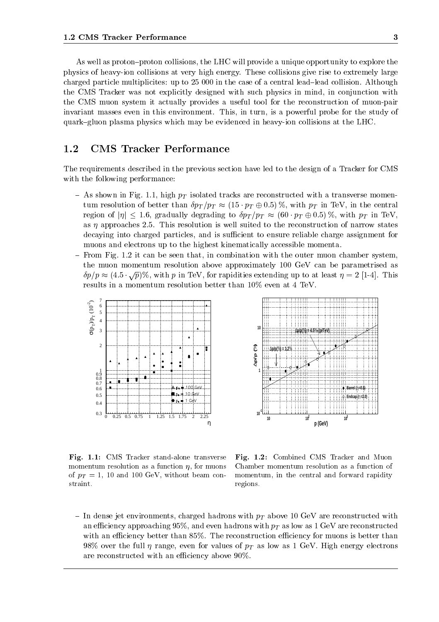As well as proton-proton collisions, the LHC will provide a unique opportunity to explore the physics of heavy-ion collisions at very high energy. These collisions give rise to extremely large charged particle multiplicites: up to 25 000 in the case of a central lead-lead collision. Although the CMS Tracker was not explicitly designed with such physics in mind, in conjunction with the CMS muon system it actually provides a useful tool for the reconstruction of muon-pair invariant masses even in this environment. This, in turn, is a powerful probe for the study of quark{gluon plasma physics which may be evidenced in heavy-ion collisions at the LHC.

#### 1.2CMS Tracker Performance

The requirements described in the previous section have led to the design of a Tracker for CMS with the following performance:

- ${\rm -A}$ s shown in Fig. 1.1, high  $p_T$  isolated tracks are reconstructed with a transverse momentum resolution of better than  $\delta p_T / p_T \approx (15 \cdot p_T \oplus 0.5)$ %, with  $p_T$  in TeV, in the central region of  $|\eta| \leq 1.6$ , gradually degrading to  $\delta p_T / p_T \approx (60 \cdot p_T \oplus 0.5)$ %, with  $p_T$  in TeV, as  $\eta$  approaches 2.5. This resolution is well suited to the reconstruction of narrow states decaying into charged particles, and is sufficient to ensure reliable charge assignment for muons and electrons up to the highest kinematically accessible momenta.
- From Fig. 1.2 it can be seen that, in combination with the outer muon chamber system, the muon momentum resolution above approximately 100 GeV can be parametrised as  $\delta p / p \approx (4.5 \cdot \sqrt{p}) \%$ , with p in TeV, for rapidities extending up to at least  $\eta = 2$  [1-4]. This results in a momentum resolution better than 10% even at 4 TeV.





Fig. 1.1: CMS Tracker stand-alone transverse momentum resolution as a function  $\eta$ , for muons of  $p_T = 1$ , 10 and 100 GeV, without beam constraint.

Fig. 1.2: Combined CMS Tracker and Muon Chamber momentum resolution as a function of momentum, in the central and forward rapidity regions.

 ${\rm -I}$  In dense jet environments, charged hadrons with  $p_T$  above 10 GeV are reconstructed with an efficiency approaching 95%, and even hadrons with  $p_T$  as low as 1 GeV are reconstructed with an efficiency better than  $85\%$ . The reconstruction efficiency for muons is better than 98% over the full  $\eta$  range, even for values of  $p_T$  as low as 1 GeV. High energy electrons are reconstructed with an efficiency above  $90\%$ .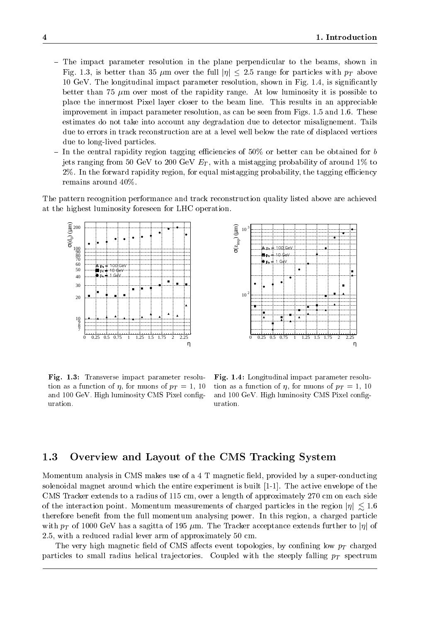- The impact parameter resolution in the plane perpendicular to the beams, shown in Fig. 1.3, is better than 35  $\mu$ m over the full  $|\eta| \leq 2.5$  range for particles with  $p_T$  above 10 GeV. The longitudinal impact parameter resolution, shown in Fig. 1.4, is signicantly better than 75  $\mu$ m over most of the rapidity range. At low luminosity it is possible to place the innermost Pixel layer closer to the beam line. This results in an appreciable improvement in impact parameter resolution, as can be seen from Figs. 1.5 and 1.6. These estimates do not take into account any degradation due to detector misalignement. Tails due to errors in track reconstruction are at a level well below the rate of displaced vertices due to long-lived particles.
- ${\rm -}$  In the central rapidity region tagging efficiencies of 50% or better can be obtained for b jets ranging from 50 GeV to 200 GeV  $E_T$ , with a mistagging probability of around 1% to 2%. In the forward rapidity region, for equal mistagging probability, the tagging efficiency remains around 40%.

The pattern recognition performance and track reconstruction quality listed above are achieved at the highest luminosity foreseen for LHC operation.





Fig. 1.3: Transverse impact parameter resolution as a function of  $\eta$ , for muons of  $p_T = 1$ , 10 and 100 GeV. High luminosity CMS Pixel conguration.

Fig. 1.4: Longitudinal impact parameter resolution as a function of  $\eta$ , for muons of  $p_T = 1$ , 10 and 100 GeV. High luminosity CMS Pixel conguration.

#### 1.3Overview and Layout of the CMS Tracking System

Momentum analysis in CMS makes use of a 4 T magnetic field, provided by a super-conducting solenoidal magnet around which the entire experiment is built [1-1]. The active envelope of the CMS Tracker extends to a radius of 115 cm, over a length of approximately 270 cm on each side of the interaction point. Momentum measurements of charged particles in the region  $|\eta| \lesssim 1.6$ therefore benet from the full momentum analysing power. In this region, a charged particle with  $p_T$  of 1000 GeV has a sagitta of 195  $\mu$ m. The Tracker acceptance extends further to  $|\eta|$  of 2.5, with a reduced radial lever arm of approximately 50 cm.

The very high magnetic field of CMS affects event topologies, by confining low  $p_T$  charged particles to small radius helical trajectories. Coupled with the steeply falling  $p_T$  spectrum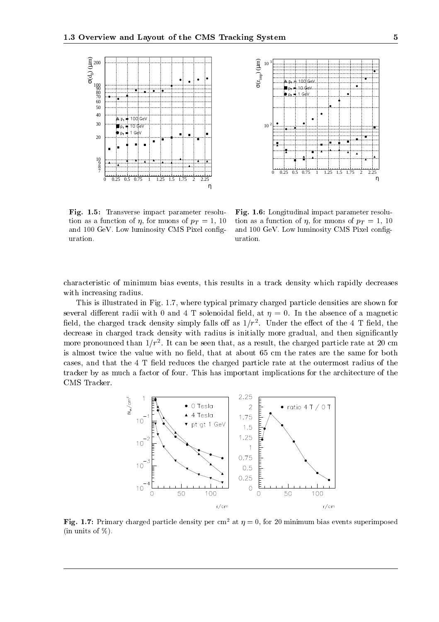



Fig. 1.5: Transverse impact parameter resolution as a function of  $\eta$ , for muons of  $p_T = 1$ , 10 and 100 GeV. Low luminosity CMS Pixel conguration.

Fig. 1.6: Longitudinal impact parameter resolution as a function of  $\eta$ , for muons of  $p_T = 1$ , 10 and 100 GeV. Low luminosity CMS Pixel conguration.

characteristic of minimum bias events, this results in a track density which rapidly decreases with increasing radius.

This is illustrated in Fig. 1.7, where typical primary charged particle densities are shown for several different radii with 0 and 4 T solenoidal field, at  $\eta = 0$ . In the absence of a magnetic neld, the charged track density simply falls off as  $1/T^2$ . Under the effect of the 4-1 field, the field of  $\pi$ decrease in charged track density with radius is initially more gradual, and then significantly more pronounced than  $1/T$  . It can be seen that, as a result, the charged particle rate at 20 cm is almost twice the value with no field, that at about 65 cm the rates are the same for both cases, and that the 4 T field reduces the charged particle rate at the outermost radius of the tracker by as much a factor of four. This has important implications for the architecture of the CMS Tracker.



**Fig. 1.7:** Primary charged particle density per cm<sup>2</sup> at  $\eta = 0$ , for 20 minimum bias events superimposed (in units of  $\%$ ).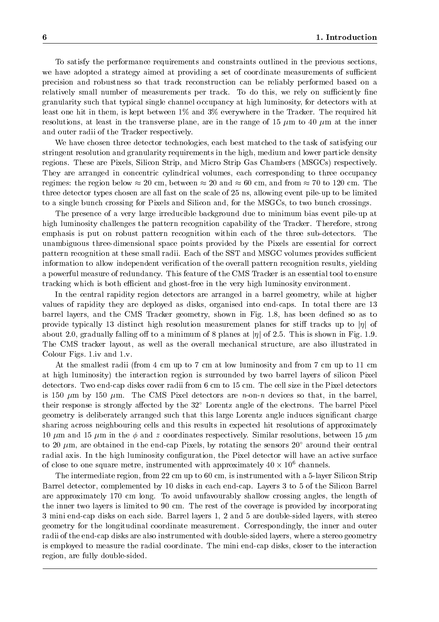To satisfy the performance requirements and constraints outlined in the previous sections, we have adopted a strategy aimed at providing a set of coordinate measurements of sufficient precision and robustness so that track reconstruction can be reliably performed based on a relatively small number of measurements per track. To do this, we rely on sufficiently fine granularity such that typical single channel occupancy at high luminosity, for detectors with at least one hit in them, is kept between 1% and 3% everywhere in the Tracker. The required hit resolutions, at least in the transverse plane, are in the range of 15  $\mu$ m to 40  $\mu$ m at the inner and outer radii of the Tracker respectively.

We have chosen three detector technologies, each best matched to the task of satisfying our stringent resolution and granularity requirements in the high, medium and lower particle density regions. These are Pixels, Silicon Strip, and Micro Strip Gas Chambers (MSGCs) respectively. They are arranged in concentric cylindrical volumes, each corresponding to three occupancy regimes: the region below  $\approx 20$  cm, between  $\approx 20$  and  $\approx 60$  cm, and from  $\approx 70$  to 120 cm. The three detector types chosen are all fast on the scale of 25 ns, allowing event pile-up to be limited to a single bunch crossing for Pixels and Silicon and, for the MSGCs, to two bunch crossings.

The presence of a very large irreducible background due to minimum bias event pile-up at high luminosity challenges the pattern recognition capability of the Tracker. Therefore, strong emphasis is put on robust pattern recognition within each of the three sub-detectors. The unambiguous three-dimensional space points provided by the Pixels are essential for correct pattern recognition at these small radii. Each of the SST and MSGC volumes provides sufficient information to allow independent verication of the overall pattern recognition results, yielding a powerful measure of redundancy. This feature of the CMS Tracker is an essential tool to ensure tracking which is both efficient and ghost-free in the very high luminosity environment.

In the central rapidity region detectors are arranged in a barrel geometry, while at higher values of rapidity they are deployed as disks, organised into end-caps. In total there are 13 barrel layers, and the CMS Tracker geometry, shown in Fig. 1.8, has been defined so as to provide typically 13 distinct high resolution measurement planes for stiff tracks up to  $|\eta|$  of about 2.0, gradually falling off to a minimum of 8 planes at  $|\eta|$  of 2.5. This is shown in Fig. 1.9. The CMS tracker layout, as well as the overall mechanical structure, are also illustrated in Colour Figs. 1.iv and 1.v.

At the smallest radii (from 4 cm up to 7 cm at low luminosity and from 7 cm up to 11 cm at high luminosity) the interaction region is surrounded by two barrel layers of silicon Pixel detectors. Two end-cap disks cover radii from 6 cm to 15 cm. The cell size in the Pixel detectors is 150  $\mu$ m by 150  $\mu$ m. The CMS Pixel detectors are n-on-n devices so that, in the barrel, their response is strongly affected by the  $32^{\circ}$  Lorentz angle of the electrons. The barrel Pixel geometry is deliberately arranged such that this large Lorentz angle induces signicant charge sharing across neighbouring cells and this results in expected hit resolutions of approximately 10  $\mu$ m and 15  $\mu$ m in the  $\phi$  and z coordinates respectively. Similar resolutions, between 15  $\mu$ m to 20  $\mu$ m, are obtained in the end-cap Pixels, by rotating the sensors 20 $^{\circ}$  around their central radial axis. In the high luminosity configuration, the Pixel detector will have an active surface of close to one square metre, instrumented with approximately 40  $\times$  10° channels.

The intermediate region, from 22 cm up to 60 cm, is instrumented with a 5-layer Silicon Strip Barrel detector, complemented by 10 disks in each end-cap. Layers 3 to 5 of the Silicon Barrel are approximately 170 cm long. To avoid unfavourably shallow crossing angles, the length of the inner two layers is limited to 90 cm. The rest of the coverage is provided by incorporating 3 mini end-cap disks on each side. Barrel layers 1, 2 and 5 are double-sided layers, with stereo geometry for the longitudinal coordinate measurement. Correspondingly, the inner and outer radii of the end-cap disks are also instrumented with double-sided layers, where a stereo geometry is employed to measure the radial coordinate. The mini end-cap disks, closer to the interaction region, are fully double-sided.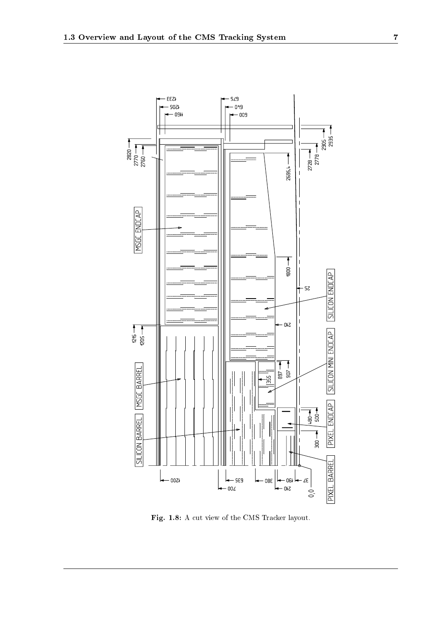

Fig. 1.8: A cut view of the CMS Tracker layout.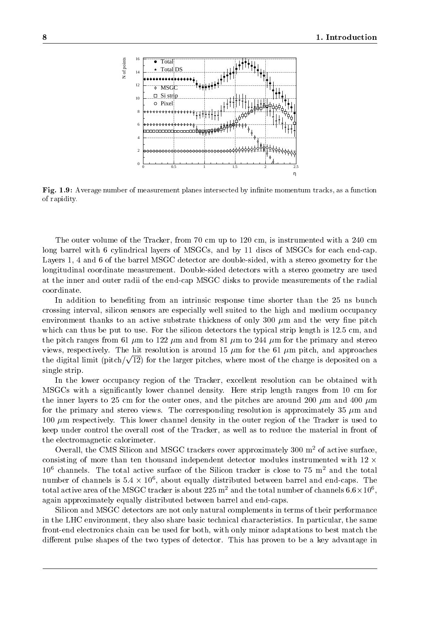

Fig. 1.9: Average number of measurement planes intersected by innite momentum tracks, as a function of rapidity.

The outer volume of the Tracker, from 70 cm up to 120 cm, is instrumented with a 240 cm long barrel with 6 cylindrical layers of MSGCs, and by 11 discs of MSGCs for each end-cap. Layers 1, 4 and 6 of the barrel MSGC detector are double-sided, with a stereo geometry for the longitudinal coordinate measurement. Double-sided detectors with a stereo geometry are used at the inner and outer radii of the end-cap MSGC disks to provide measurements of the radial coordinate.

In addition to benefiting from an intrinsic response time shorter than the 25 ns bunch crossing interval, silicon sensors are especially well suited to the high and medium occupancy environment thanks to an active substrate thickness of only 300  $\mu$ m and the very fine pitch which can thus be put to use. For the silicon detectors the typical strip length is 12.5 cm, and the pitch ranges from 61  $\mu$ m to 122  $\mu$ m and from 81  $\mu$ m to 244  $\mu$ m for the primary and stereo views, respectively. The hit resolution is around 15  $\mu$ m for the 61  $\mu$ m pitch, and approaches the digital limit (pitch/ $\sqrt{12}$ ) for the larger pitches, where most of the charge is deposited on a single strip.

In the lower occupancy region of the Tracker, excellent resolution can be obtained with MSGCs with a signicantly lower channel density. Here strip length ranges from 10 cm for the inner layers to 25 cm for the outer ones, and the pitches are around 200  $\mu$ m and 400  $\mu$ m for the primary and stereo views. The corresponding resolution is approximately 35  $\mu$ m and 100  $\mu$ m respectively. This lower channel density in the outer region of the Tracker is used to keep under control the overall cost of the Tracker, as well as to reduce the material in front of the electromagnetic calorimeter.

Overall, the CMS Silicon and MSGC trackers cover approximately  $300 \text{ m}^2$  of active surface, consisting of more than ten thousand independent detector modules instrumented with  $12 \times$  $10^6$  channels. The total active surface of the Silicon tracker is close to 75 m<sup>2</sup> and the total number of channels is  $5.4 \times 10^{\circ}$ , about equally distributed between barrel and end-caps. The total active area of the MSGC tracker is about 225 m  $\,$  and the total number of channels 6.6  $\times$  10  $\,$  ,  $\,$ again approximately equally distributed between barrel and end-caps.

Silicon and MSGC detectors are not only natural complements in terms of their performance in the LHC environment, they also share basic technical characteristics. In particular, the same front-end electronics chain can be used for both, with only minor adaptations to best match the different pulse shapes of the two types of detector. This has proven to be a key advantage in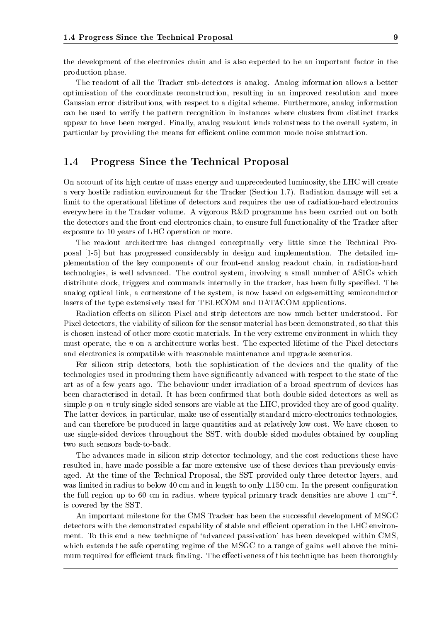the development of the electronics chain and is also expected to be an important factor in the production phase.

The readout of all the Tracker sub-detectors is analog. Analog information allows a better optimisation of the coordinate reconstruction, resulting in an improved resolution and more Gaussian error distributions, with respect to a digital scheme. Furthermore, analog information can be used to verify the pattern recognition in instances where clusters from distinct tracks appear to have been merged. Finally, analog readout lends robustness to the overall system, in particular by providing the means for efficient online common mode noise subtraction.

#### 1.4Progress Since the Technical Proposal

On account of its high centre of mass energy and unprecedented luminosity, the LHC will create a very hostile radiation environment for the Tracker (Section 1.7). Radiation damage will set a limit to the operational lifetime of detectors and requires the use of radiation-hard electronics everywhere in the Tracker volume. A vigorous R&D programme has been carried out on both the detectors and the front-end electronics chain, to ensure full functionality of the Tracker after exposure to 10 years of LHC operation or more.

The readout architecture has changed conceptually very little since the Technical Proposal [1-5] but has progressed considerably in design and implementation. The detailed implementation of the key components of our front-end analog readout chain, in radiation-hard technologies, is well advanced. The control system, involving a small number of ASICs which distribute clock, triggers and commands internally in the tracker, has been fully specified. The analog optical link, a cornerstone of the system, is now based on edge-emitting semiconductor lasers of the type extensively used for TELECOM and DATACOM applications.

Radiation effects on silicon Pixel and strip detectors are now much better understood. For Pixel detectors, the viability of silicon for the sensor material has been demonstrated, so that this is chosen instead of other more exotic materials. In the very extreme environment in which they must operate, the  $n$ -on-n architecture works best. The expected lifetime of the Pixel detectors and electronics is compatible with reasonable maintenance and upgrade scenarios.

For silicon strip detectors, both the sophistication of the devices and the quality of the technologies used in producing them have signicantly advanced with respect to the state of the art as of a few years ago. The behaviour under irradiation of a broad spectrum of devices has been characterised in detail. It has been confirmed that both double-sided detectors as well as simple  $p$ -on-n truly single-sided sensors are viable at the LHC, provided they are of good quality. The latter devices, in particular, make use of essentially standard micro-electronics technologies, and can therefore be produced in large quantities and at relatively low cost. We have chosen to use single-sided devices throughout the SST, with double sided modules obtained by coupling two such sensors back-to-back.

The advances made in silicon strip detector technology, and the cost reductions these have resulted in, have made possible a far more extensive use of these devices than previously envisaged. At the time of the Technical Proposal, the SST provided only three detector layers, and was limited in radius to below 40 cm and in length to only  $\pm 150$  cm. In the present configuration the full region up to 60 cm in radius, where typical primary track densities are above 1  $\text{cm}^{-2}$ . is covered by the SST.

An important milestone for the CMS Tracker has been the successful development of MSGC detectors with the demonstrated capability of stable and efficient operation in the LHC environment. To this end a new technique of 'advanced passivation' has been developed within CMS, which extends the safe operating regime of the MSGC to a range of gains well above the minimum required for efficient track finding. The effectiveness of this technique has been thoroughly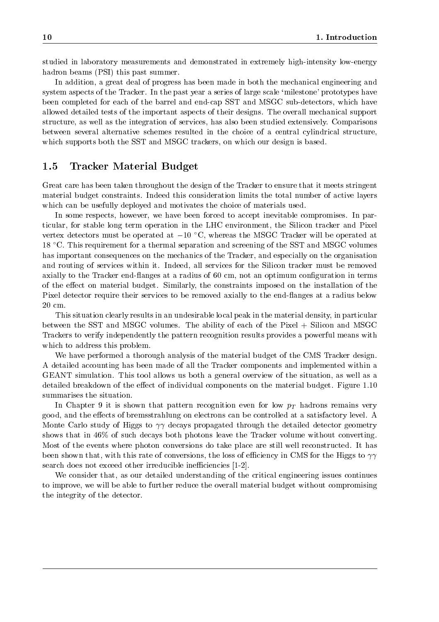studied in laboratory measurements and demonstrated in extremely high-intensity low-energy hadron beams (PSI) this past summer.

In addition, a great deal of progress has been made in both the mechanical engineering and system aspects of the Tracker. In the past year a series of large scale 'milestone' prototypes have been completed for each of the barrel and end-cap SST and MSGC sub-detectors, which have allowed detailed tests of the important aspects of their designs. The overall mechanical support structure, as well as the integration of services, has also been studied extensively. Comparisons between several alternative schemes resulted in the choice of a central cylindrical structure, which supports both the SST and MSGC trackers, on which our design is based.

#### 1.5Tracker Material Budget

Great care has been taken throughout the design of the Tracker to ensure that it meets stringent material budget constraints. Indeed this consideration limits the total number of active layers which can be usefully deployed and motivates the choice of materials used.

In some respects, however, we have been forced to accept inevitable compromises. In particular, for stable long term operation in the LHC environment, the Silicon tracker and Pixel vertex detectors must be operated at  $-10$  °C, whereas the MSGC Tracker will be operated at 18 C. This requirement for a thermal separation and screening of the SST and MSGC volumes has important consequences on the mechanics of the Tracker, and especially on the organisation and routing of services within it. Indeed, all services for the Silicon tracker must be removed axially to the Tracker end-flanges at a radius of 60 cm, not an optimum configuration in terms of the eect on material budget. Similarly, the constraints imposed on the installation of the Pixel detector require their services to be removed axially to the end-flanges at a radius below 20 cm.

This situation clearly results in an undesirable local peak in the material density, in particular between the SST and MSGC volumes. The ability of each of the Pixel + Silicon and MSGC Trackers to verify independently the pattern recognition results provides a powerful means with which to address this problem.

We have performed a thorough analysis of the material budget of the CMS Tracker design. A detailed accounting has been made of all the Tracker components and implemented within a GEANT simulation. This tool allows us both a general overview of the situation, as well as a detailed breakdown of the effect of individual components on the material budget. Figure 1.10 summarises the situation.

In Chapter 9 it is shown that pattern recognition even for low  $p_T$  hadrons remains very good, and the effects of bremsstrahlung on electrons can be controlled at a satisfactory level. A Monte Carlo study of Higgs to  $\gamma\gamma$  decays propagated through the detailed detector geometry shows that in 46% of such decays both photons leave the Tracker volume without converting. Most of the events where photon conversions do take place are still well reconstructed. It has been shown that, with this rate of conversions, the loss of efficiency in CMS for the Higgs to  $\gamma\gamma$ search does not exceed other irreducible inefficiencies [1-2].

We consider that, as our detailed understanding of the critical engineering issues continues to improve, we will be able to further reduce the overall material budget without compromising the integrity of the detector.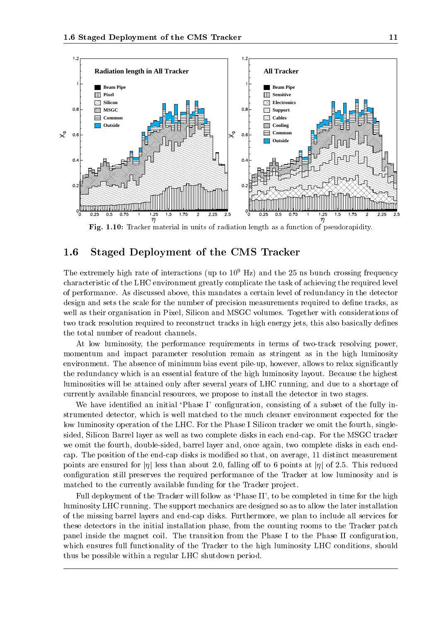

Fig. 1.10: Tracker material in units of radiation length as a function of pseudorapidity.

#### 1.6Staged Deployment of the CMS Tracker

The extremely high rate of interactions (up to  $10^9$  Hz) and the 25 ns bunch crossing frequency characteristic of the LHC environment greatly complicate the task of achieving the required level of performance. As discussed above, this mandates a certain level of redundancy in the detector design and sets the scale for the number of precision measurements required to define tracks, as well as their organisation in Pixel, Silicon and MSGC volumes. Together with considerations of two track resolution required to reconstruct tracks in high energy jets, this also basically defines the total number of readout channels.

At low luminosity, the performance requirements in terms of two-track resolving power, momentum and impact parameter resolution remain as stringent as in the high luminosity environment. The absence of minimum bias event pile-up, however, allows to relax significantly the redundancy which is an essential feature of the high luminosity layout. Because the highest luminosities will be attained only after several years of LHC running, and due to a shortage of currently available financial resources, we propose to install the detector in two stages.

We have identified an initial 'Phase I' configuration, consisting of a subset of the fully instrumented detector, which is well matched to the much cleaner environment expected for the low luminosity operation of the LHC. For the Phase I Silicon tracker we omit the fourth, singlesided, Silicon Barrel layer as well as two complete disks in each end-cap. For the MSGC tracker we omit the fourth, double-sided, barrel layer and, once again, two complete disks in each endcap. The position of the end-cap disks is modied so that, on average, 11 distinct measurement points are ensured for  $|\eta|$  less than about 2.0, falling off to 6 points at  $|\eta|$  of 2.5. This reduced configuration still preserves the required performance of the Tracker at low luminosity and is matched to the currently available funding for the Tracker project.

Full deployment of the Tracker will follow as 'Phase II', to be completed in time for the high luminosity LHC running. The support mechanics are designed so as to allow the later installation of the missing barrel layers and end-cap disks. Furthermore, we plan to include all services for these detectors in the initial installation phase, from the counting rooms to the Tracker patch panel inside the magnet coil. The transition from the Phase I to the Phase II configuration, which ensures full functionality of the Tracker to the high luminosity LHC conditions, should thus be possible within a regular LHC shutdown period.